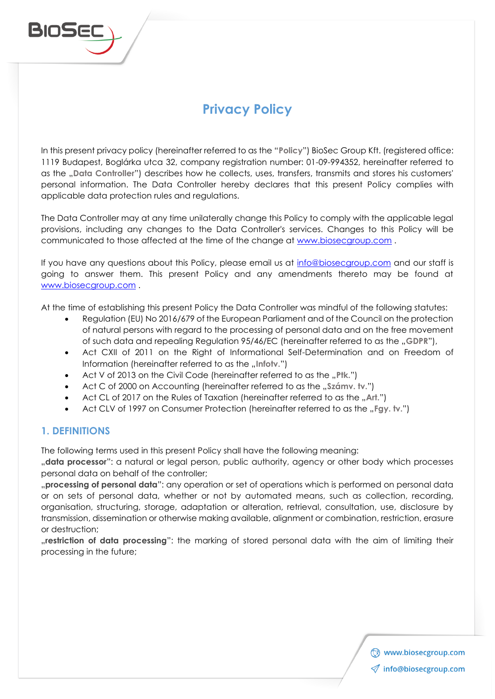

# **Privacy Policy**

In this present privacy policy (hereinafter referred to as the "**Policy**") BioSec Group Kft. (registered office: 1119 Budapest, Boglárka utca 32, company registration number: 01-09-994352, hereinafter referred to as the "Data Controller") describes how he collects, uses, transfers, transmits and stores his customers' personal information. The Data Controller hereby declares that this present Policy complies with applicable data protection rules and regulations.

The Data Controller may at any time unilaterally change this Policy to comply with the applicable legal provisions, including any changes to the Data Controller's services. Changes to this Policy will be communicated to those affected at the time of the change at [www.biosecgroup.com](http://www.biosecgroup.com/) .

If you have any questions about this Policy, please email us at [info@biosecgroup.com](mailto:info@biosecgroup.com) and our staff is going to answer them. This present Policy and any amendments thereto may be found at [www.biosecgroup.com](http://www.biosecgroup.com/) .

At the time of establishing this present Policy the Data Controller was mindful of the following statutes:

- Regulation (EU) No 2016/679 of the European Parliament and of the Council on the protection of natural persons with regard to the processing of personal data and on the free movement of such data and repealing Regulation 95/46/EC (hereinafter referred to as the ..GDPR"),
- Act CXII of 2011 on the Right of Informational Self-Determination and on Freedom of Information (hereinafter referred to as the *"Infotv.*")
- Act V of 2013 on the Civil Code (hereinafter referred to as the "Ptk.")
- Act C of 2000 on Accounting (hereinafter referred to as the "Számv. tv.")
- Act CL of 2017 on the Rules of Taxation (hereinafter referred to as the "Art.")
- Act CLV of 1997 on Consumer Protection (hereinafter referred to as the "Fgy. tv.")

## **1. DEFINITIONS**

The following terms used in this present Policy shall have the following meaning:

"**data processor**": a natural or legal person, public authority, agency or other body which processes personal data on behalf of the controller;

"**processing of personal data**": any operation or set of operations which is performed on personal data or on sets of personal data, whether or not by automated means, such as collection, recording, organisation, structuring, storage, adaptation or alteration, retrieval, consultation, use, disclosure by transmission, dissemination or otherwise making available, alignment or combination, restriction, erasure or destruction;

"**restriction of data processing**": the marking of stored personal data with the aim of limiting their processing in the future;

> Www.biosecgroup.com  $\mathcal Q$  info@biosecgroup.com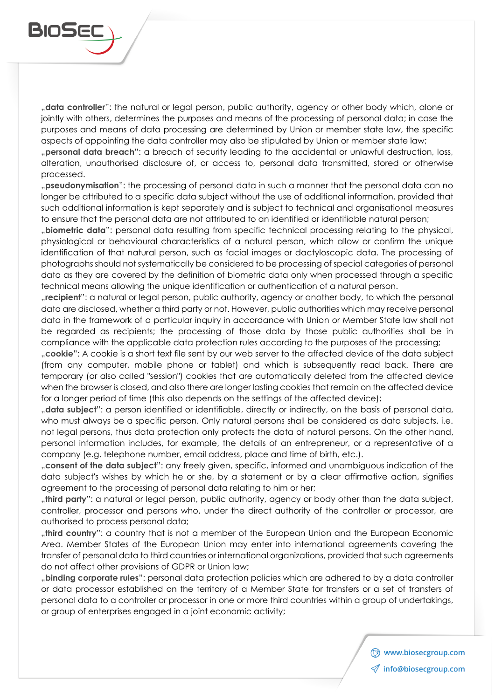"**data controller**": the natural or legal person, public authority, agency or other body which, alone or jointly with others, determines the purposes and means of the processing of personal data; in case the purposes and means of data processing are determined by Union or member state law, the specific aspects of appointing the data controller may also be stipulated by Union or member state law; "**personal data breach**": a breach of security leading to the accidental or unlawful destruction, loss, alteration, unauthorised disclosure of, or access to, personal data transmitted, stored or otherwise processed.

"**pseudonymisation**": the processing of personal data in such a manner that the personal data can no longer be attributed to a specific data subject without the use of additional information, provided that such additional information is kept separately and is subject to technical and organisational measures to ensure that the personal data are not attributed to an identified or identifiable natural person;

"**biometric data**": personal data resulting from specific technical processing relating to the physical, physiological or behavioural characteristics of a natural person, which allow or confirm the unique identification of that natural person, such as facial images or dactyloscopic data. The processing of photographs should not systematically be considered to be processing of special categories of personal data as they are covered by the definition of biometric data only when processed through a specific technical means allowing the unique identification or authentication of a natural person.

"**recipient**": a natural or legal person, public authority, agency or another body, to which the personal data are disclosed, whether a third party or not. However, public authorities which may receive personal data in the framework of a particular inquiry in accordance with Union or Member State law shall not be regarded as recipients; the processing of those data by those public authorities shall be in compliance with the applicable data protection rules according to the purposes of the processing;

"**cookie**": A cookie is a short text file sent by our web server to the affected device of the data subject (from any computer, mobile phone or tablet) and which is subsequently read back. There are temporary (or also called "session") cookies that are automatically deleted from the affected device when the browser is closed, and also there are longer lasting cookies that remain on the affected device for a longer period of time (this also depends on the settings of the affected device);

"**data subject**": a person identified or identifiable, directly or indirectly, on the basis of personal data, who must always be a specific person. Only natural persons shall be considered as data subjects, i.e. not legal persons, thus data protection only protects the data of natural persons. On the other hand, personal information includes, for example, the details of an entrepreneur, or a representative of a company (e.g. telephone number, email address, place and time of birth, etc.).

"**consent of the data subject**": any freely given, specific, informed and unambiguous indication of the data subject's wishes by which he or she, by a statement or by a clear affirmative action, signifies agreement to the processing of personal data relating to him or her;

"third party": a natural or legal person, public authority, agency or body other than the data subject, controller, processor and persons who, under the direct authority of the controller or processor, are authorised to process personal data;

"**third country**": a country that is not a member of the European Union and the European Economic Area. Member States of the European Union may enter into international agreements covering the transfer of personal data to third countries or international organizations, provided that such agreements do not affect other provisions of GDPR or Union law;

"**binding corporate rules**": personal data protection policies which are adhered to by a data controller or data processor established on the territory of a Member State for transfers or a set of transfers of personal data to a controller or processor in one or more third countries within a group of undertakings, or group of enterprises engaged in a joint economic activity;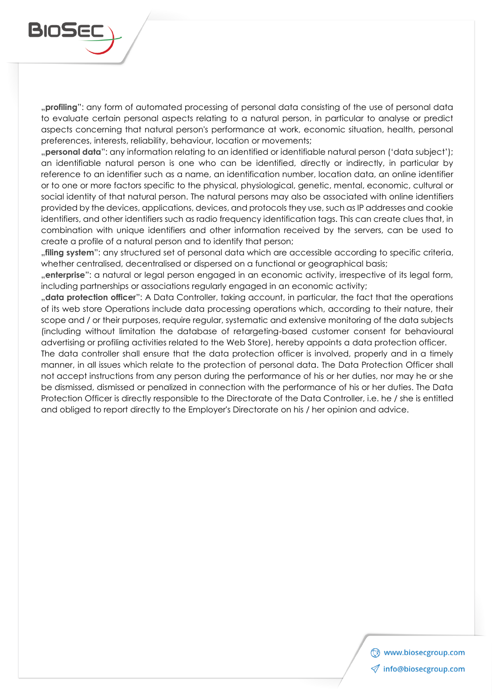

"**profiling**": any form of automated processing of personal data consisting of the use of personal data to evaluate certain personal aspects relating to a natural person, in particular to analyse or predict aspects concerning that natural person's performance at work, economic situation, health, personal preferences, interests, reliability, behaviour, location or movements;

"**personal data**": any information relating to an identified or identifiable natural person ('data subject'); an identifiable natural person is one who can be identified, directly or indirectly, in particular by reference to an identifier such as a name, an identification number, location data, an online identifier or to one or more factors specific to the physical, physiological, genetic, mental, economic, cultural or social identity of that natural person. The natural persons may also be associated with online identifiers provided by the devices, applications, devices, and protocols they use, such as IP addresses and cookie identifiers, and other identifiers such as radio frequency identification tags. This can create clues that, in combination with unique identifiers and other information received by the servers, can be used to create a profile of a natural person and to identify that person;

"**filing system**": any structured set of personal data which are accessible according to specific criteria, whether centralised, decentralised or dispersed on a functional or geographical basis;

"**enterprise**": a natural or legal person engaged in an economic activity, irrespective of its legal form, including partnerships or associations regularly engaged in an economic activity;

"**data protection officer**": A Data Controller, taking account, in particular, the fact that the operations of its web store Operations include data processing operations which, according to their nature, their scope and / or their purposes, require regular, systematic and extensive monitoring of the data subjects (including without limitation the database of retargeting-based customer consent for behavioural advertising or profiling activities related to the Web Store), hereby appoints a data protection officer.

The data controller shall ensure that the data protection officer is involved, properly and in a timely manner, in all issues which relate to the protection of personal data. The Data Protection Officer shall not accept instructions from any person during the performance of his or her duties, nor may he or she be dismissed, dismissed or penalized in connection with the performance of his or her duties. The Data Protection Officer is directly responsible to the Directorate of the Data Controller, i.e. he / she is entitled and obliged to report directly to the Employer's Directorate on his / her opinion and advice.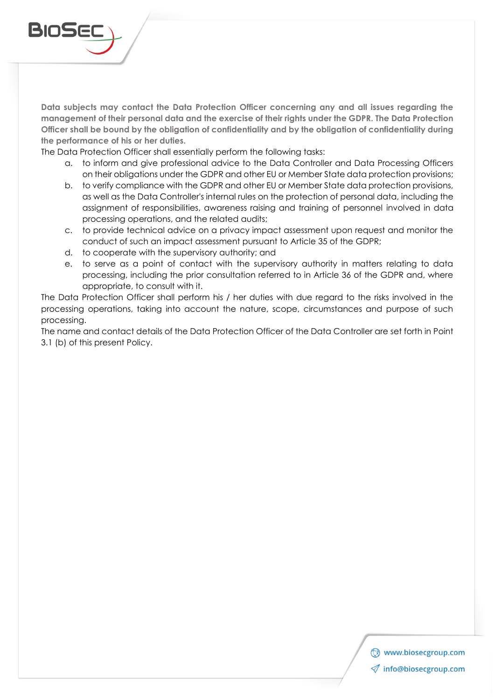

**Data subjects may contact the Data Protection Officer concerning any and all issues regarding the management of their personal data and the exercise of their rights under the GDPR. The Data Protection Officer shall be bound by the obligation of confidentiality and by the obligation of confidentiality during the performance of his or her duties.**

The Data Protection Officer shall essentially perform the following tasks:

- a. to inform and give professional advice to the Data Controller and Data Processing Officers on their obligations under the GDPR and other EU or Member State data protection provisions;
- b. to verify compliance with the GDPR and other EU or Member State data protection provisions, as well as the Data Controller's internal rules on the protection of personal data, including the assignment of responsibilities, awareness raising and training of personnel involved in data processing operations, and the related audits;
- c. to provide technical advice on a privacy impact assessment upon request and monitor the conduct of such an impact assessment pursuant to Article 35 of the GDPR;
- d. to cooperate with the supervisory authority; and
- e. to serve as a point of contact with the supervisory authority in matters relating to data processing, including the prior consultation referred to in Article 36 of the GDPR and, where appropriate, to consult with it.

The Data Protection Officer shall perform his / her duties with due regard to the risks involved in the processing operations, taking into account the nature, scope, circumstances and purpose of such processing.

The name and contact details of the Data Protection Officer of the Data Controller are set forth in Point 3.1 (b) of this present Policy.

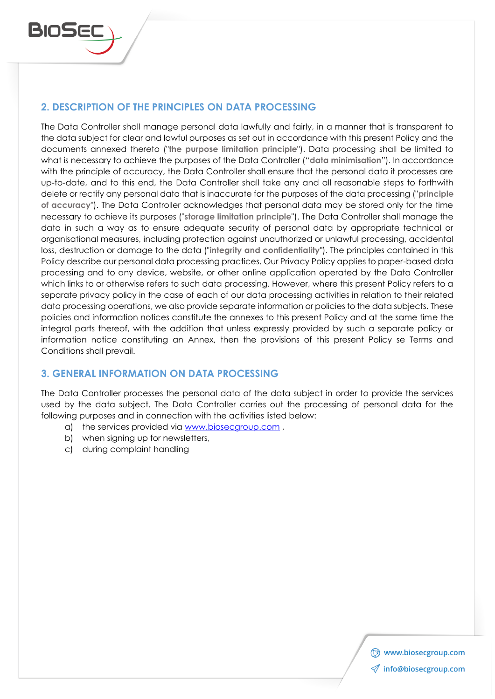

# **2. DESCRIPTION OF THE PRINCIPLES ON DATA PROCESSING**

The Data Controller shall manage personal data lawfully and fairly, in a manner that is transparent to the data subject for clear and lawful purposes as set out in accordance with this present Policy and the documents annexed thereto ("**the purpose limitation principle**"). Data processing shall be limited to what is necessary to achieve the purposes of the Data Controller ("**data minimisation**"). In accordance with the principle of accuracy, the Data Controller shall ensure that the personal data it processes are up-to-date, and to this end, the Data Controller shall take any and all reasonable steps to forthwith delete or rectify any personal data that is inaccurate for the purposes of the data processing ("**principle of accuracy**"). The Data Controller acknowledges that personal data may be stored only for the time necessary to achieve its purposes ("**storage limitation principle**"). The Data Controller shall manage the data in such a way as to ensure adequate security of personal data by appropriate technical or organisational measures, including protection against unauthorized or unlawful processing, accidental loss, destruction or damage to the data ("**integrity and confidentiality**"). The principles contained in this Policy describe our personal data processing practices. Our Privacy Policy applies to paper-based data processing and to any device, website, or other online application operated by the Data Controller which links to or otherwise refers to such data processing. However, where this present Policy refers to a separate privacy policy in the case of each of our data processing activities in relation to their related data processing operations, we also provide separate information or policies to the data subjects. These policies and information notices constitute the annexes to this present Policy and at the same time the integral parts thereof, with the addition that unless expressly provided by such a separate policy or information notice constituting an Annex, then the provisions of this present Policy se Terms and Conditions shall prevail.

## **3. GENERAL INFORMATION ON DATA PROCESSING**

The Data Controller processes the personal data of the data subject in order to provide the services used by the data subject. The Data Controller carries out the processing of personal data for the following purposes and in connection with the activities listed below:

- a) the services provided via [www.biosecgroup.com](http://www.biosecgroup.com/),
- b) when signing up for newsletters,
- c) during complaint handling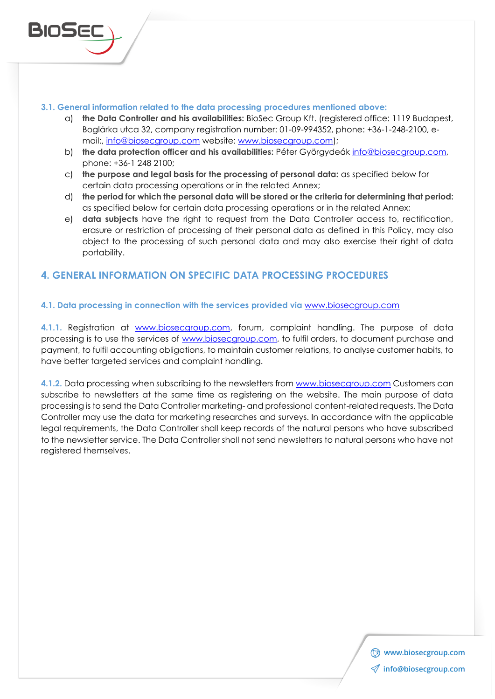#### **3.1. General information related to the data processing procedures mentioned above:**

- a) **the Data Controller and his availabilities:** BioSec Group Kft. (registered office: 1119 Budapest, Boglárka utca 32, company registration number: 01-09-994352, phone: +36-1-248-2100, email:, [info@biosecgroup.com](mailto:info@biosecgroup.com) website: [www.biosecgroup.com\)](http://www.biosecgroup.com/);
- b) **the data protection officer and his availabilities:** Péter Györgydeák [info@biosecgroup.com,](mailto:info@biosecgroup.com) phone: +36-1 248 2100;
- c) **the purpose and legal basis for the processing of personal data:** as specified below for certain data processing operations or in the related Annex;
- d) **the period for which the personal data will be stored or the criteria for determining that period:** as specified below for certain data processing operations or in the related Annex;
- e) **data subjects** have the right to request from the Data Controller access to, rectification, erasure or restriction of processing of their personal data as defined in this Policy, may also object to the processing of such personal data and may also exercise their right of data portability.

## **4. GENERAL INFORMATION ON SPECIFIC DATA PROCESSING PROCEDURES**

#### **4.1. Data processing in connection with the services provided via** [www.biosecgroup.com](http://www.biosecgroup.com/)

**4.1.1.** Registration at [www.biosecgroup.com,](http://www.biosecgroup.com/) forum, complaint handling. The purpose of data processing is to use the services of [www.biosecgroup.com,](http://www.biosecgroup.com/) to fulfil orders, to document purchase and payment, to fulfil accounting obligations, to maintain customer relations, to analyse customer habits, to have better targeted services and complaint handling.

**4.1.2.** Data processing when subscribing to the newsletters from [www.biosecgroup.com](http://www.biosecgroup.com/) Customers can subscribe to newsletters at the same time as registering on the website. The main purpose of data processing is to send the Data Controller marketing- and professional content-related requests. The Data Controller may use the data for marketing researches and surveys. In accordance with the applicable legal requirements, the Data Controller shall keep records of the natural persons who have subscribed to the newsletter service. The Data Controller shall not send newsletters to natural persons who have not registered themselves.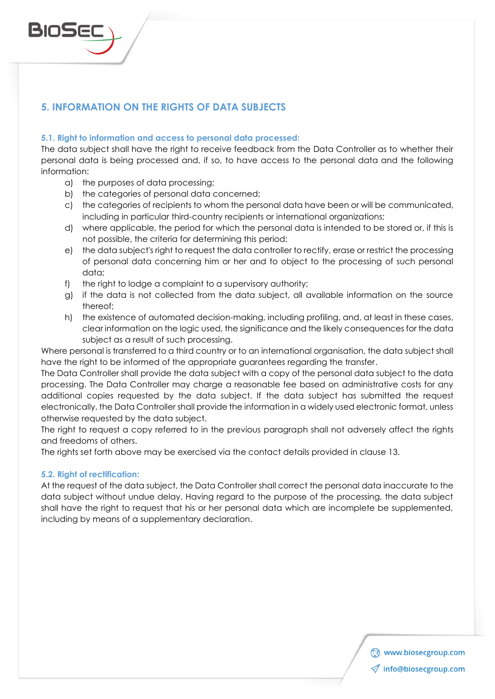

# **5. INFORMATION ON THE RIGHTS OF DATA SUBJECTS**

#### **5.1. Right to information and access to personal data processed:**

The data subject shall have the right to receive feedback from the Data Controller as to whether their personal data is being processed and, if so, to have access to the personal data and the following information:

- a) the purposes of data processing;
- b) the categories of personal data concerned;
- c) the categories of recipients to whom the personal data have been or will be communicated, including in particular third-country recipients or international organizations;
- d) where applicable, the period for which the personal data is intended to be stored or, if this is not possible, the criteria for determining this period;
- e) the data subject's right to request the data controller to rectify, erase or restrict the processing of personal data concerning him or her and to object to the processing of such personal data;
- f) the right to lodge a complaint to a supervisory authority;
- g) if the data is not collected from the data subject, all available information on the source thereof;
- h) the existence of automated decision-making, including profiling, and, at least in these cases, clear information on the logic used, the significance and the likely consequences for the data subject as a result of such processing.

Where personal is transferred to a third country or to an international organisation, the data subject shall have the right to be informed of the appropriate guarantees regarding the transfer.

The Data Controller shall provide the data subject with a copy of the personal data subject to the data processing. The Data Controller may charge a reasonable fee based on administrative costs for any additional copies requested by the data subject. If the data subject has submitted the request electronically, the Data Controller shall provide the information in a widely used electronic format, unless otherwise requested by the data subject.

The right to request a copy referred to in the previous paragraph shall not adversely affect the rights and freedoms of others.

The rights set forth above may be exercised via the contact details provided in clause 13.

#### **5.2. Right of rectification:**

At the request of the data subject, the Data Controller shall correct the personal data inaccurate to the data subject without undue delay. Having regard to the purpose of the processing, the data subject shall have the right to request that his or her personal data which are incomplete be supplemented, including by means of a supplementary declaration.

> Www.biosecgroup.com  $\mathcal Q$  info@biosecgroup.com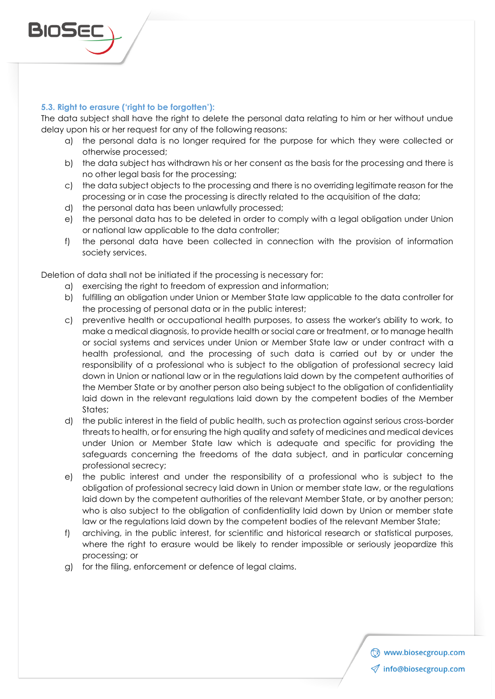

#### **5.3. Right to erasure ('right to be forgotten'):**

The data subject shall have the right to delete the personal data relating to him or her without undue delay upon his or her request for any of the following reasons:

- a) the personal data is no longer required for the purpose for which they were collected or otherwise processed;
- b) the data subject has withdrawn his or her consent as the basis for the processing and there is no other legal basis for the processing;
- c) the data subject objects to the processing and there is no overriding legitimate reason for the processing or in case the processing is directly related to the acquisition of the data;
- d) the personal data has been unlawfully processed;
- e) the personal data has to be deleted in order to comply with a legal obligation under Union or national law applicable to the data controller;
- f) the personal data have been collected in connection with the provision of information society services.

Deletion of data shall not be initiated if the processing is necessary for:

- a) exercising the right to freedom of expression and information;
- b) fulfilling an obligation under Union or Member State law applicable to the data controller for the processing of personal data or in the public interest;
- c) preventive health or occupational health purposes, to assess the worker's ability to work, to make a medical diagnosis, to provide health or social care or treatment, or to manage health or social systems and services under Union or Member State law or under contract with a health professional, and the processing of such data is carried out by or under the responsibility of a professional who is subject to the obligation of professional secrecy laid down in Union or national law or in the regulations laid down by the competent authorities of the Member State or by another person also being subject to the obligation of confidentiality laid down in the relevant regulations laid down by the competent bodies of the Member States;
- d) the public interest in the field of public health, such as protection against serious cross-border threats to health, or for ensuring the high quality and safety of medicines and medical devices under Union or Member State law which is adequate and specific for providing the safeguards concerning the freedoms of the data subject, and in particular concerning professional secrecy;
- e) the public interest and under the responsibility of a professional who is subject to the obligation of professional secrecy laid down in Union or member state law, or the regulations laid down by the competent authorities of the relevant Member State, or by another person; who is also subject to the obligation of confidentiality laid down by Union or member state law or the regulations laid down by the competent bodies of the relevant Member State;
- f) archiving, in the public interest, for scientific and historical research or statistical purposes, where the right to erasure would be likely to render impossible or seriously jeopardize this processing; or
- g) for the filing, enforcement or defence of legal claims.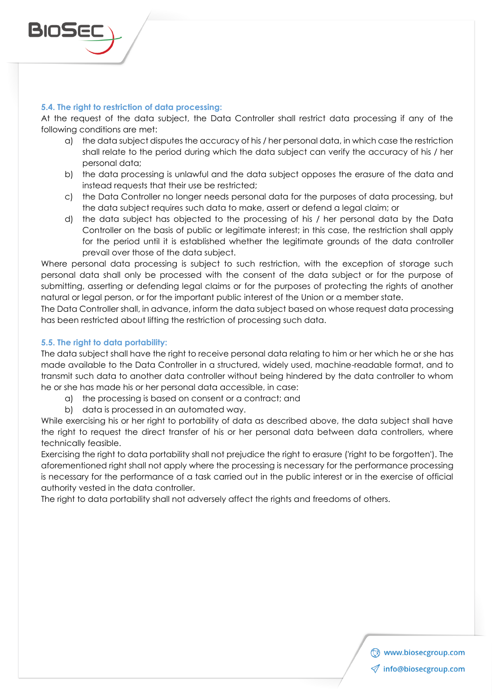

At the request of the data subject, the Data Controller shall restrict data processing if any of the following conditions are met:

- a) the data subject disputes the accuracy of his / her personal data, in which case the restriction shall relate to the period during which the data subject can verify the accuracy of his / her personal data;
- b) the data processing is unlawful and the data subject opposes the erasure of the data and instead requests that their use be restricted;
- c) the Data Controller no longer needs personal data for the purposes of data processing, but the data subject requires such data to make, assert or defend a legal claim; or
- d) the data subject has objected to the processing of his / her personal data by the Data Controller on the basis of public or legitimate interest; in this case, the restriction shall apply for the period until it is established whether the legitimate grounds of the data controller prevail over those of the data subject.

Where personal data processing is subject to such restriction, with the exception of storage such personal data shall only be processed with the consent of the data subject or for the purpose of submitting, asserting or defending legal claims or for the purposes of protecting the rights of another natural or legal person, or for the important public interest of the Union or a member state.

The Data Controller shall, in advance, inform the data subject based on whose request data processing has been restricted about lifting the restriction of processing such data.

#### **5.5. The right to data portability:**

The data subject shall have the right to receive personal data relating to him or her which he or she has made available to the Data Controller in a structured, widely used, machine-readable format, and to transmit such data to another data controller without being hindered by the data controller to whom he or she has made his or her personal data accessible, in case:

- a) the processing is based on consent or a contract; and
- b) data is processed in an automated way.

While exercising his or her right to portability of data as described above, the data subject shall have the right to request the direct transfer of his or her personal data between data controllers, where technically feasible.

Exercising the right to data portability shall not prejudice the right to erasure ('right to be forgotten'). The aforementioned right shall not apply where the processing is necessary for the performance processing is necessary for the performance of a task carried out in the public interest or in the exercise of official authority vested in the data controller.

The right to data portability shall not adversely affect the rights and freedoms of others.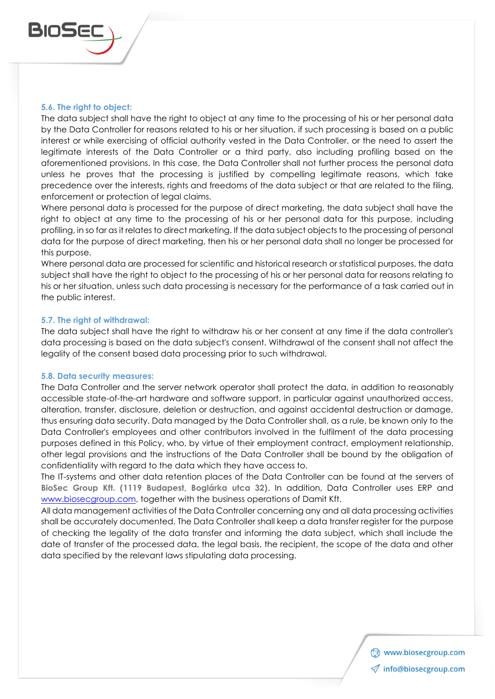

#### **5.6. The right to object:**

The data subject shall have the right to object at any time to the processing of his or her personal data by the Data Controller for reasons related to his or her situation, if such processing is based on a public interest or while exercising of official authority vested in the Data Controller, or the need to assert the legitimate interests of the Data Controller or a third party, also including profiling based on the aforementioned provisions. In this case, the Data Controller shall not further process the personal data unless he proves that the processing is justified by compelling legitimate reasons, which take precedence over the interests, rights and freedoms of the data subject or that are related to the filing, enforcement or protection of legal claims.

Where personal data is processed for the purpose of direct marketing, the data subject shall have the right to object at any time to the processing of his or her personal data for this purpose, including profiling, in so far as it relates to direct marketing. If the data subject objects to the processing of personal data for the purpose of direct marketing, then his or her personal data shall no longer be processed for this purpose.

Where personal data are processed for scientific and historical research or statistical purposes, the data subject shall have the right to object to the processing of his or her personal data for reasons relating to his or her situation, unless such data processing is necessary for the performance of a task carried out in the public interest.

#### **5.7. The right of withdrawal:**

The data subject shall have the right to withdraw his or her consent at any time if the data controller's data processing is based on the data subject's consent. Withdrawal of the consent shall not affect the legality of the consent based data processing prior to such withdrawal.

#### **5.8. Data security measures:**

The Data Controller and the server network operator shall protect the data, in addition to reasonably accessible state-of-the-art hardware and software support, in particular against unauthorized access, alteration, transfer, disclosure, deletion or destruction, and against accidental destruction or damage, thus ensuring data security. Data managed by the Data Controller shall, as a rule, be known only to the Data Controller's employees and other contributors involved in the fulfilment of the data processing purposes defined in this Policy, who, by virtue of their employment contract, employment relationship, other legal provisions and the instructions of the Data Controller shall be bound by the obligation of confidentiality with regard to the data which they have access to.

The IT-systems and other data retention places of the Data Controller can be found at the servers of **BioSec Group Kft. (1119 Budapest, Boglárka utca 32)**. In addition, Data Controller uses ERP and [www.biosecgroup.com,](http://www.biosecgroup.com/) together with the business operations of Damit Kft.

All data management activities of the Data Controller concerning any and all data processing activities shall be accurately documented. The Data Controller shall keep a data transfer register for the purpose of checking the legality of the data transfer and informing the data subject, which shall include the date of transfer of the processed data, the legal basis, the recipient, the scope of the data and other data specified by the relevant laws stipulating data processing.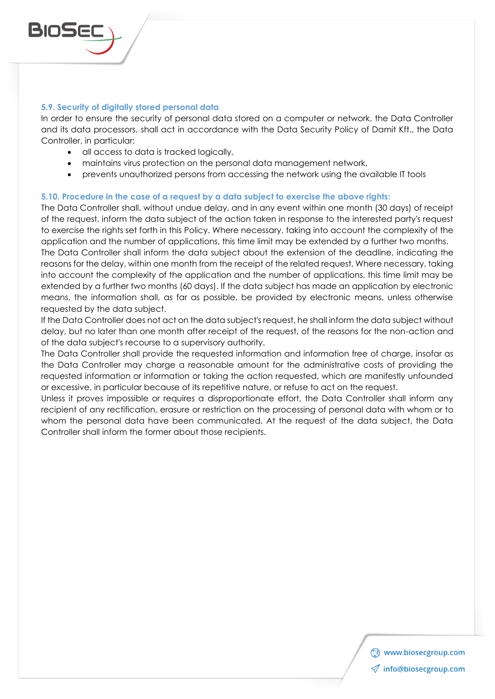

In order to ensure the security of personal data stored on a computer or network, the Data Controller and its data processors, shall act in accordance with the Data Security Policy of Damit Kft., the Data Controller, in particular:

- all access to data is tracked logically,
- maintains virus protection on the personal data management network,
- prevents unauthorized persons from accessing the network using the available IT tools

#### **5.10. Procedure in the case of a request by a data subject to exercise the above rights:**

The Data Controller shall, without undue delay, and in any event within one month (30 days) of receipt of the request, inform the data subject of the action taken in response to the interested party's request to exercise the rights set forth in this Policy. Where necessary, taking into account the complexity of the application and the number of applications, this time limit may be extended by a further two months.

The Data Controller shall inform the data subject about the extension of the deadline, indicating the reasons for the delay, within one month from the receipt of the related request. Where necessary, taking into account the complexity of the application and the number of applications, this time limit may be extended by a further two months (60 days). If the data subject has made an application by electronic means, the information shall, as far as possible, be provided by electronic means, unless otherwise requested by the data subject.

If the Data Controller does not act on the data subject's request, he shall inform the data subject without delay, but no later than one month after receipt of the request, of the reasons for the non-action and of the data subject's recourse to a supervisory authority.

The Data Controller shall provide the requested information and information free of charge, insofar as the Data Controller may charge a reasonable amount for the administrative costs of providing the requested information or information or taking the action requested, which are manifestly unfounded or excessive, in particular because of its repetitive nature, or refuse to act on the request.

Unless it proves impossible or requires a disproportionate effort, the Data Controller shall inform any recipient of any rectification, erasure or restriction on the processing of personal data with whom or to whom the personal data have been communicated. At the request of the data subject, the Data Controller shall inform the former about those recipients.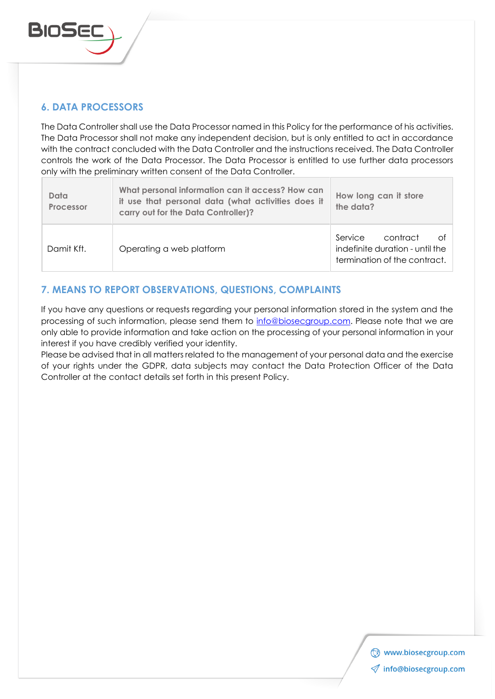

# **6. DATA PROCESSORS**

The Data Controller shall use the Data Processor named in this Policy for the performance of his activities. The Data Processor shall not make any independent decision, but is only entitled to act in accordance with the contract concluded with the Data Controller and the instructions received. The Data Controller controls the work of the Data Processor. The Data Processor is entitled to use further data processors only with the preliminary written consent of the Data Controller.

| Data<br>Processor | What personal information can it access? How can<br>it use that personal data (what activities does it<br>carry out for the Data Controller)? | How long can it store<br>the data?                                                           |
|-------------------|-----------------------------------------------------------------------------------------------------------------------------------------------|----------------------------------------------------------------------------------------------|
| Damit Kft.        | Operating a web platform                                                                                                                      | Service<br>contract<br>∩t<br>indefinite duration - until the<br>termination of the contract. |

# **7. MEANS TO REPORT OBSERVATIONS, QUESTIONS, COMPLAINTS**

If you have any questions or requests regarding your personal information stored in the system and the processing of such information, please send them to [info@biosecgroup.com.](mailto:publicaffairs@palmsecssolutions.com) Please note that we are only able to provide information and take action on the processing of your personal information in your interest if you have credibly verified your identity.

Please be advised that in all matters related to the management of your personal data and the exercise of your rights under the GDPR, data subjects may contact the Data Protection Officer of the Data Controller at the contact details set forth in this present Policy.